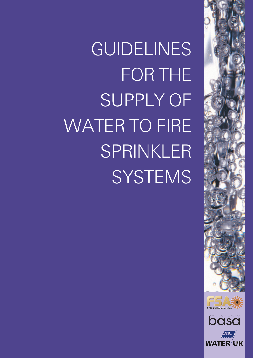



GUIDELINES FOR THE SUPPLY OF WATER TO FIRE SPRINKLER **SYSTEMS**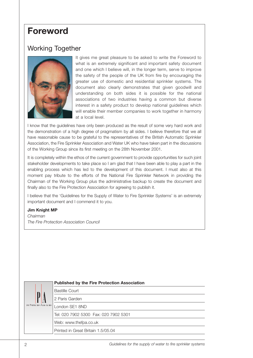### **Foreword**

### Working Together



It gives me great pleasure to be asked to write the Foreword to what is an extremely significant and important safety document and one which I believe will, in the longer term, serve to improve the safety of the people of the UK from fire by encouraging the greater use of domestic and residential sprinkler systems. The document also clearly demonstrates that given goodwill and understanding on both sides it is possible for the national associations of two industries having a common but diverse interest in a safety product to develop national guidelines which will enable their member companies to work together in harmony at a local level.

I know that the guidelines have only been produced as the result of some very hard work and the demonstration of a high degree of pragmatism by all sides. I believe therefore that we all have reasonable cause to be grateful to the representatives of the British Automatic Sprinkler Association, the Fire Sprinkler Association and Water UK who have taken part in the discussions of the Working Group since its first meeting on the 28th November 2001.

It is completely within the ethos of the current government to provide opportunities for such joint stakeholder developments to take place so I am glad that I have been able to play a part in the enabling process which has led to the development of this document. I must also at this moment pay tribute to the efforts of the National Fire Sprinkler Network in providing the Chairman of the Working Group plus the administrative backup to create the document and finally also to the Fire Protection Association for agreeing to publish it.

I believe that the 'Guidelines for the Supply of Water to Fire Sprinkler Systems' is an extremely important document and I commend it to you.

#### **Jim Knight MP**

*Chairman The Fire Protection Association Council* 

|  |                        | <b>Published by the Fire Protection Association</b> |
|--|------------------------|-----------------------------------------------------|
|  |                        | <b>Bastille Court</b>                               |
|  | Protec ion Asso ia ion | 2 Paris Garden                                      |
|  |                        | London SE1 8ND                                      |
|  |                        | Tel: 020 7902 5300 Fax: 020 7902 5301               |
|  |                        | Web: www.thefpa.co.uk                               |
|  |                        | Printed in Great Britain 1.5/05.04                  |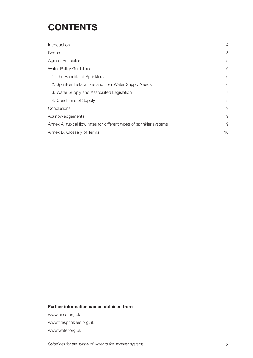# **CONTENTS**

| Introduction                                                         | 4              |  |
|----------------------------------------------------------------------|----------------|--|
| Scope                                                                | 5              |  |
| <b>Agreed Principles</b>                                             | 5              |  |
| <b>Water Policy Guidelines</b>                                       | 6              |  |
| 1. The Benefits of Sprinklers                                        | 6              |  |
| 2. Sprinkler Installations and their Water Supply Needs              | 6              |  |
| 3. Water Supply and Associated Legislation                           | $\overline{7}$ |  |
| 4. Conditions of Supply                                              | 8              |  |
| Conclusions                                                          | 9              |  |
| Acknowledgements                                                     | 9              |  |
| Annex A. typical flow rates for different types of sprinkler systems | 9              |  |
| Annex B. Glossary of Terms                                           |                |  |

#### **Further information can be obtained from:**

www,basa.org.uk

www.firesprinklers.org.uk

www.water.org.uk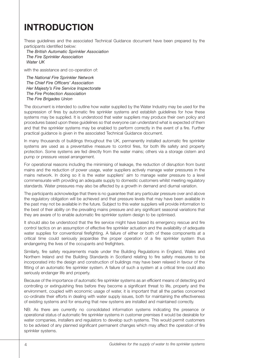## **INTRODUCTION**

These guidelines and the associated Technical Guidance document have been prepared by the participants identified below:

*The British Automatic Sprinkler Association The Fire Sprinkler Association Water UK* 

with the assistance and co-operation of:

*The National Fire Sprinkler Network The Chief Fire Officers' Association Her Majesty's Fire Service Inspectorate The Fire Protection Association The Fire Brigades Union* 

The document is intended to outline how water supplied by the Water Industry may be used for the suppression of fires by automatic fire sprinkler systems and establish guidelines for how these systems may be supplied. It is understood that water suppliers may produce their own policy and procedures based upon these guidelines so that everyone can understand what is expected of them and that the sprinkler systems may be enabled to perform correctly in the event of a fire. Further practical guidance is given in the associated Technical Guidance document.

In many thousands of buildings throughout the UK, permanently installed automatic fire sprinkler systems are used as a preventative measure to control fires, for both life safety and property protection. Some systems are fed directly from the water mains; others via a storage cistern and pump or pressure vessel arrangement.

For operational reasons including the minimising of leakage, the reduction of disruption from burst mains and the reduction of power usage, water suppliers actively manage water pressures in the mains network. In doing so it is the water suppliers' aim to manage water pressure to a level commensurate with providing an adequate supply to domestic customers whilst meeting regulatory standards. Water pressures may also be affected by a growth in demand and diurnal variation.

The participants acknowledge that there is no guarantee that any particular pressure over and above the regulatory obligation will be achieved and that pressure levels that may have been available in the past may not be available in the future. Subject to this water suppliers will provide information to the best of their ability on the prevailing mains pressure and any significant seasonal variations that they are aware of to enable automatic fire sprinkler system design to be optimised.

It should also be understood that the fire service might have based its emergency rescue and fire control tactics on an assumption of effective fire sprinkler actuation and the availability of adequate water supplies for conventional firefighting. A failure of either or both of these components at a critical time could seriously jeopardise the proper operation of a fire sprinkler system thus endangering the lives of the occupants and firefighters.

Similarly, fire safety requirements made under the Building Regulations in England, Wales and Northern Ireland and the Building Standards in Scotland relating to fire safety measures to be incorporated into the design and construction of buildings may have been relaxed in favour of the fitting of an automatic fire sprinkler system. A failure of such a system at a critical time could also seriously endanger life and property.

Because of the importance of automatic fire sprinkler systems as an efficient means of detecting and controlling or extinguishing fires before they become a significant threat to life, property and the environment, coupled with economic usage of water, it is important that all the parties concerned co-ordinate their efforts in dealing with water supply issues, both for maintaining the effectiveness of existing systems and for ensuring that new systems are installed and maintained correctly.

NB: As there are currently no consolidated information systems indicating the presence or operational status of automatic fire sprinkler systems in customer premises it would be desirable for water companies, installers and regulators to develop such systems. This would permit customers to be advised of any planned significant permanent changes which may affect the operation of fire sprinkler systems.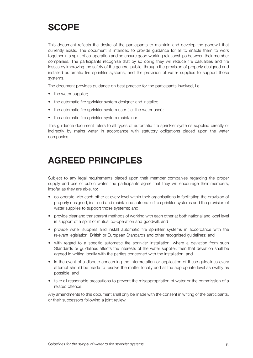### **SCOPE**

This document reflects the desire of the participants to maintain and develop the goodwill that currently exists. The document is intended to provide guidance for all to enable them to work together in a spirit of co-operation and so ensure good working relationships between their member companies. The participants recognise that by so doing they will reduce fire casualties and fire losses by improving the safety of the general public, through the provision of properly designed and installed automatic fire sprinkler systems, and the provision of water supplies to support those systems.

The document provides guidance on best practice for the participants involved, i.e.

- the water supplier;
- the automatic fire sprinkler system designer and installer;
- the automatic fire sprinkler system user (i.e. the water user);
- the automatic fire sprinkler system maintainer.

This guidance document refers to all types of automatic fire sprinkler systems supplied directly or indirectly by mains water in accordance with statutory obligations placed upon the water companies.

### **AGREED PRINCIPLES**

Subject to any legal requirements placed upon their member companies regarding the proper supply and use of public water, the participants agree that they will encourage their members, insofar as they are able, to:

- co-operate with each other at every level within their organisations in facilitating the provision of properly designed, installed and maintained automatic fire sprinkler systems and the provision of water supplies to support those systems; and
- provide clear and transparent methods of working with each other at both national and local level in support of a spirit of mutual co-operation and goodwill; and
- provide water supplies and install automatic fire sprinkler systems in accordance with the relevant legislation, British or European Standards and other recognised guidelines; and
- with regard to a specific automatic fire sprinkler installation, where a deviation from such Standards or guidelines affects the interests of the water supplier, then that deviation shall be agreed in writing locally with the parties concerned with the installation; and
- in the event of a dispute concerning the interpretation or application of these guidelines every attempt should be made to resolve the matter locally and at the appropriate level as swiftly as possible; and
- take all reasonable precautions to prevent the misappropriation of water or the commission of a related offence.

Any amendments to this document shall only be made with the consent in writing of the participants, or their successors following a joint review.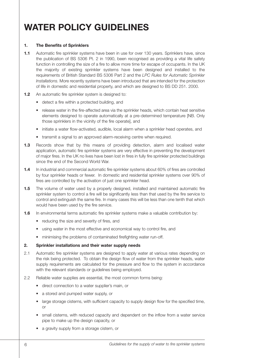## **WATER POLICY GUIDELINES**

#### **1. The Benefits of Sprinklers**

- **1.1** Automatic fire sprinkler systems have been in use for over 130 years. Sprinklers have, since the publication of BS 5306 Pt. 2 in 1990, been recognised as providing a vital life safety function in controlling the size of a fire to allow more time for escape of occupants. In the UK the majority of existing sprinkler systems have been designed and installed to the requirements of British Standard BS 5306 Part 2 and the *LPC Rules for Automatic Sprinkler Installations.* More recently systems have been introduced that are intended for the protection of life in domestic and residential property, and which are designed to BS DD 251. 2000.
- **1.2** An automatic fire sprinkler system is designed to:
	- detect a fire within a protected building, and
	- release water in the fire-affected area via the sprinkler heads, which contain heat sensitive elements designed to operate automatically at a pre-determined temperature [NB. Only those sprinklers in the vicinity of the fire operate], and
	- initiate a water flow-activated, audible, local alarm when a sprinkler head operates, and
	- transmit a signal to an approved alarm-receiving centre when required.
- **1.3** Records show that by this means of providing detection, alarm and localised water application, automatic fire sprinkler systems are very effective in preventing the development of major fires. In the UK no lives have been lost in fires in fully fire sprinkler protected buildings since the end of the Second World War.
- **1.4** In industrial and commercial automatic fire sprinkler systems about 60% of fires are controlled by four sprinkler heads or fewer. In domestic and residential sprinkler systems over 90% of fires are controlled by the activation of just one sprinkler head.
- **1.5** The volume of water used by a properly designed, installed and maintained automatic fire sprinkler system to control a fire will be significantly less than that used by the fire service to control and extinguish the same fire. In many cases this will be less than one tenth that which would have been used by the fire service.
- **1.6** In environmental terms automatic fire sprinkler systems make a valuable contribution by:
	- reducing the size and severity of fires, and
	- using water in the most effective and economical way to control fire, and
	- minimising the problems of contaminated firefighting water run-off.

#### **2. Sprinkler installations and their water supply needs**

- 2.1 Automatic fire sprinkler systems are designed to apply water at various rates depending on the risk being protected. To obtain the design flow of water from the sprinkler heads, water supply requirements are calculated for the pressure and flow to the system in accordance with the relevant standards or guidelines being employed.
- 2.2 Reliable water supplies are essential, the most common forms being:
	- direct connection to a water supplier's main, or
	- a stored and pumped water supply, or
	- large storage cisterns, with sufficient capacity to supply design flow for the specified time, or
	- small cisterns, with reduced capacity and dependent on the inflow from a water service pipe to make up the design capacity, or
	- a gravity supply from a storage cistern, or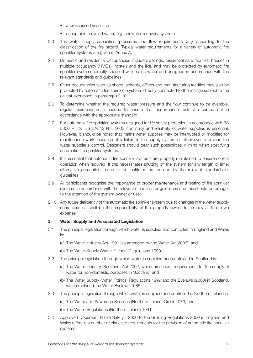- a pressurised vessel, or
- acceptable recycled water, e.g. rainwater recovery systems.
- 2.3 The water supply capacities, pressures and flow requirements vary, according to the classification of the fire hazard. Typical water requirements for a variety of automatic fire sprinkler systems are given in Annex A.
- 2.4 Domestic and residential occupancies include dwellings, residential care facilities, houses in multiple occupancy (HMOs), hostels and the like, and may be protected by automatic fire sprinkler systems directly supplied with mains water and designed in accordance with the relevant standards and guidelines.
- 2.5 Other occupancies such as shops, schools, offices and manufacturing facilities may also be protected by automatic fire sprinkler systems directly connected to the main(s) subject to the caveat expressed in paragraph 2.10.
- 2.6 To determine whether the required water pressure and the flow continue to be available, regular maintenance is needed to ensure that performance tests are carried out in accordance with the appropriate standard.
- 2.7 For automatic fire sprinkler systems designed for life safety protection in accordance with BS 5306 Pt. 2/ BS EN 12845: 2003 continuity and reliability of water supplies is essential. However, it should be noted that mains water supplies may be interrupted or modified for maintenance work, because of a failure in the supply system or other events beyond the water supplier's control. Designers should bear such possibilities in mind when specifying automatic fire sprinkler systems.
- 2.8 It is essential that automatic fire sprinkler systems are properly maintained to ensure correct operation when required. If this necessitates shutting off the system for any length of time, alternative precautions need to be instituted as required by the relevant standards or guidelines.
- 2.9 All participants recognise the importance of proper maintenance and testing of fire sprinkler systems in accordance with the relevant standards or guidelines and this should be brought to the attention of the system owner or user.
- 2.10 Any future deficiency of the automatic fire sprinkler system due to changes in the water supply characteristics shall be the responsibility of the property owner to remedy at their own expense.

#### **3. Water Supply and Associated Legislation**

- 3.1 The principal legislation through which water is supplied and controlled in England and Wales is:
	- (a) The Water Industry Act 1991 (as amended by the Water Act 2003); and
	- (b) The Water Supply (Water Fittings) Regulations 1999.
- 3.2 The principal legislation through which water is supplied and controlled in Scotland is:
	- (a) The Water Industry (Scotland) Act 2002, which prescribes requirements for the supply of water for non-domestic purposes in Scotland; and
	- (b) The Water Supply (Water Fittings) Regulations 1999 and the Byelaws (2000) in Scotland, which replaced the Water Byelaws 1986.
- 3.3 The principal legislation through which water is supplied and controlled in Northern Ireland is:
	- (a) The Water and Sewerage Services (Northern Ireland) Order 1973; and
	- (b) The Water Regulations (Northern Ireland) 1991.
- 3.4 Approved Document B Fire Safety 2000 to the Building Regulations 2000 in England and Wales refers in a number of places to requirements for the provision of automatic fire sprinkler systems.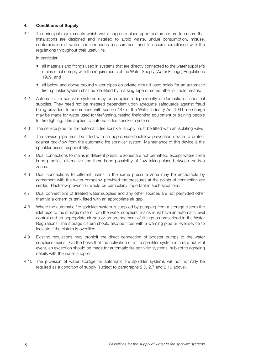#### **4. Conditions of Supply**

4.1 The principal requirements which water suppliers place upon customers are to ensure that installations are designed and installed to avoid waste, undue consumption, misuse, contamination of water and erroneous measurement and to ensure compliance with the regulations throughout their useful life.

In particular:

- all materials and fittings used in systems that are directly connected to the water supplier's mains must comply with the requirements of the Water Supply (Water Fittings) Regulations 1999, and
- all below and above ground water pipes on private ground used solely for an automatic fire sprinkler system shall be identified by marking tape or some other suitable means.
- 4.2 Automatic fire sprinkler systems may be supplied independently of domestic or industrial supplies. They need not be metered dependent upon adequate safeguards against fraud being provided. In accordance with section 147 of the Water Industry Act 1991, no charge may be made for water used for firefighting, testing firefighting equipment or training people for fire fighting. This applies to automatic fire sprinkler systems.
- 4.3 The service pipe for the automatic fire sprinkler supply must be fitted with an isolating valve.
- 4.4 The service pipe must be fitted with an appropriate backflow prevention device to protect against backflow from the automatic fire sprinkler system. Maintenance of this device is the sprinkler user's responsibility.
- 4.5 Dual connections to mains in different pressure zones are not permitted; except where there is no practical alternative and there is no possibility of flow taking place between the two zones.
- 4.6 Dual connections to different mains in the same pressure zone may be acceptable by agreement with the water company, provided the pressures at the points of connection are similar. Backflow prevention would be particularly important in such situations.
- 4.7 Dual connections of treated water supplies and any other sources are not permitted other than via a cistern or tank fitted with an appropriate air gap.
- 4.8 Where the automatic fire sprinkler system is supplied by pumping from a storage cistern the inlet pipe to the storage cistern from the water suppliers' mains must have an automatic level control and an appropriate air gap or an arrangement of fittings as prescribed in the Water Regulations. The storage cistern should also be fitted with a warning pipe or level device to indicate if the cistern is overfilled.
- 4.9 Existing regulations may prohibit the direct connection of booster pumps to the water supplier's mains. On the basis that the activation of a fire sprinkler system is a rare but vital event, an exception should be made for automatic fire sprinkler systems, subject to agreeing details with the water supplier.
- 4.10 The provision of water storage for automatic fire sprinkler systems will not normally be required as a condition of supply (subject to paragraphs 2.6, 2.7 and 2.10 above).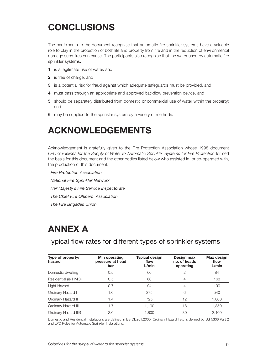# **CONCLUSIONS**

The participants to the document recognise that automatic fire sprinkler systems have a valuable role to play in the protection of both life and property from fire and in the reduction of environmental damage such fires can cause. The participants also recognise that the water used by automatic fire sprinkler systems:

- **1** is a legitimate use of water, and
- **2** is free of charge, and
- **3** is a potential risk for fraud against which adequate safeguards must be provided, and
- **4** must pass through an appropriate and approved backflow prevention device, and
- **5** should be separately distributed from domestic or commercial use of water within the property: and
- **6** may be supplied to the sprinkler system by a variety of methods.

### **ACKNOWLEDGEMENTS**

Acknowledgement is gratefully given to the Fire Protection Association whose 1998 document LPC Guidelines for the Supply of Water to Automatic Sprinkler Systems for Fire Protection formed the basis for this document and the other bodies listed below who assisted in, or co-operated with, the production of this document.

*Fire Protection Association National Fire Sprinkler Network Her Majesty's Fire Service Inspectorate The Chief Fire Officers' Association The Fire Brigades Union* 

### **ANNEX A**

Typical flow rates for different types of sprinkler systems

| Type of property/<br>hazard | Min operating<br>pressure at head<br>bar | <b>Typical design</b><br>flow<br>L/min | Design max<br>no. of heads<br>operating | Max design<br>flow<br>L/min |
|-----------------------------|------------------------------------------|----------------------------------------|-----------------------------------------|-----------------------------|
| Domestic dwelling           | 0.5                                      | 60                                     | 2                                       | 84                          |
| Residential (ie HMO)        | 0.5                                      | 60                                     | 4                                       | 168                         |
| Light Hazard                | 0.7                                      | 94                                     | 4                                       | 190                         |
| Ordinary Hazard I           | 1.0                                      | 375                                    | 6                                       | 540                         |
| Ordinary Hazard II          | 1.4                                      | 725                                    | 12                                      | 1,000                       |
| Ordinary Hazard III         | 1.7                                      | 1,100                                  | 18                                      | 1,350                       |
| Ordinary Hazard IIIS        | 2.0                                      | 1.800                                  | 30                                      | 2.100                       |

Domestic and Residential installations are defined in BS DD251:2000. Ordinary Hazard I etc is defined by BS 5306 Part 2 and LPC Rules for Automatic Sprinkler Installations.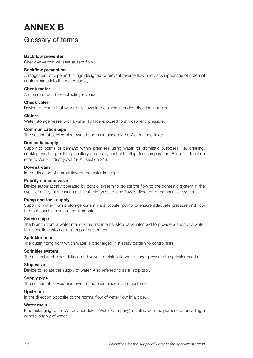## **ANNEX B**

### Glossary of terms

#### **Backflow preventer**

Check valve that will seat at zero flow.

#### **Backflow prevention**

Arrangement of pipe and fittings designed to prevent reverse flow and back siphonage of potential contaminants into the water supply.

#### **Check meter**

A meter not used for collecting revenue.

#### **Check valve**

Device to ensure that water only flows in the single intended direction in a pipe.

#### **Cistern**

Water storage vessel with a water surface exposed to atmospheric pressure.

#### **Communication pipe**

The section of service pipe owned and maintained by the Water Undertaker.

#### **Domestic supply**

Supply to points of demand within premises using water for domestic purposes, i.e. drinking, cooking, washing, bathing, sanitary purposes, central heating, food preparation. For a full definition refer to Water Industry Act 1991, section 218.

#### **Downstream**

In the direction of normal flow of the water in a pipe.

#### **Priority demand valve**

Device automatically operated by control system to isolate the flow to the domestic system in the event of a fire, thus ensuring all available pressure and flow is directed to the sprinkler system.

#### **Pump and tank supply**

Supply of water from a storage cistern via a booster pump to ensure adequate pressure and flow to meet sprinkler system requirements.

#### **Service pipe**

The branch from a water main to the first internal stop valve intended to provide a supply of water to a specific customer or group of customers.

#### **Sprinkler head**

The outlet fitting from which water is discharged in a spray pattern to control fires.

#### **Sprinkler system**

The assembly of pipes, fittings and valves to distribute water under pressure to sprinkler heads.

#### **Stop valve**

Device to isolate the supply of water. Also referred to as a 'stop tap'.

#### **Supply pipe**

The section of service pipe owned and maintained by the customer.

#### **Upstream**

In the direction opposite to the normal flow of water flow in a pipe.

#### **Water main**

Pipe belonging to the Water Undertaker (Water Company) installed with the purpose of providing a general supply of water.